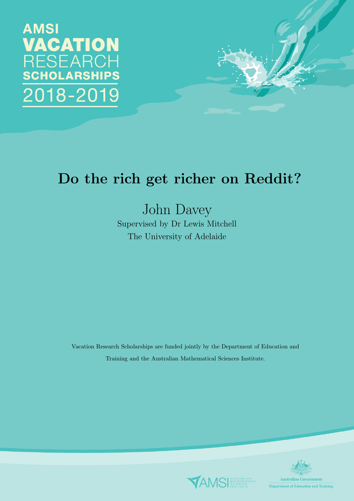**AMSI VACATION RESEARCH SCHOLARSHIPS** 2018-2019



# Do the rich get richer on Reddit?

John Davey Supervised by Dr Lewis Mitchell The University of Adelaide

Vacation Research Scholarships are funded jointly by the Department of Education and Training and the Australian Mathematical Sciences Institute.



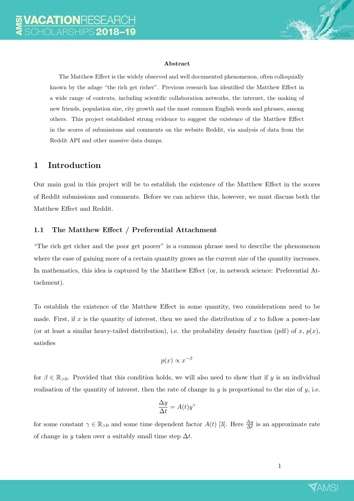

#### Abstract

The Matthew Effect is the widely observed and well documented phenomenon, often colloquially known by the adage "the rich get richer". Previous research has identified the Matthew Effect in a wide range of contexts, including scientific collaboration networks, the internet, the making of new friends, population size, city growth and the most common English words and phrases, among others. This project established strong evidence to suggest the existence of the Matthew Effect in the scores of submissions and comments on the website Reddit, via analysis of data from the Reddit API and other massive data dumps.

### 1 Introduction

Our main goal in this project will be to establish the existence of the Matthew Effect in the scores of Reddit submissions and comments. Before we can achieve this, however, we must discuss both the Matthew Effect and Reddit.

#### 1.1 The Matthew Effect / Preferential Attachment

"The rich get richer and the poor get poorer" is a common phrase used to describe the phenomenon where the ease of gaining more of a certain quantity grows as the current size of the quantity increases. In mathematics, this idea is captured by the Matthew Effect (or, in network science: Preferential Attachment).

To establish the existence of the Matthew Effect in some quantity, two considerations need to be made. First, if x is the quantity of interest, then we need the distribution of x to follow a power-law (or at least a similar heavy-tailed distribution), i.e. the probability density function (pdf) of x,  $p(x)$ , satisfies

$$
p(x) \propto x^{-\beta}
$$

for  $\beta \in \mathbb{R}_{>0}$ . Provided that this condition holds, we will also need to show that if y is an individual realisation of the quantity of interest, then the rate of change in  $y$  is proportional to the size of  $y$ , i.e.

$$
\frac{\Delta y}{\Delta t} = A(t)y^{\gamma}
$$

for some constant  $\gamma \in \mathbb{R}_{>0}$  and some time dependent factor  $A(t)$  [\[3\]](#page-15-0). Here  $\frac{\Delta y}{\Delta t}$  is an approximate rate of change in y taken over a suitably small time step  $\Delta t$ .

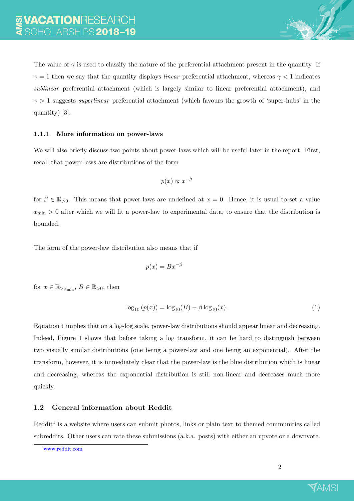

The value of  $\gamma$  is used to classify the nature of the preferential attachment present in the quantity. If  $\gamma = 1$  then we say that the quantity displays *linear* preferential attachment, whereas  $\gamma < 1$  indicates sublinear preferential attachment (which is largely similar to linear preferential attachment), and  $\gamma > 1$  suggests superlinear preferential attachment (which favours the growth of 'super-hubs' in the quantity) [\[3\]](#page-15-0).

#### 1.1.1 More information on power-laws

We will also briefly discuss two points about power-laws which will be useful later in the report. First, recall that power-laws are distributions of the form

$$
p(x) \propto x^{-\beta}
$$

for  $\beta \in \mathbb{R}_{>0}$ . This means that power-laws are undefined at  $x = 0$ . Hence, it is usual to set a value  $x_{\text{min}} > 0$  after which we will fit a power-law to experimental data, to ensure that the distribution is bounded.

The form of the power-law distribution also means that if

<span id="page-2-0"></span>
$$
p(x) = Bx^{-\beta}
$$

for  $x \in \mathbb{R}_{\geq x_{\min}}$ ,  $B \in \mathbb{R}_{>0}$ , then

$$
\log_{10} (p(x)) = \log_{10} (B) - \beta \log_{10} (x). \tag{1}
$$

Equation [1](#page-2-0) implies that on a log-log scale, power-law distributions should appear linear and decreasing. Indeed, Figure [1](#page-3-0) shows that before taking a log transform, it can be hard to distinguish between two visually similar distributions (one being a power-law and one being an exponential). After the transform, however, it is immediately clear that the power-law is the blue distribution which is linear and decreasing, whereas the exponential distribution is still non-linear and decreases much more quickly.

### 1.2 General information about Reddit

 $\text{Reddit}^1$  $\text{Reddit}^1$  is a website where users can submit photos, links or plain text to themed communities called subreddits. Other users can rate these submissions (a.k.a. posts) with either an upvote or a downvote.



<span id="page-2-1"></span><sup>1</sup><www.reddit.com>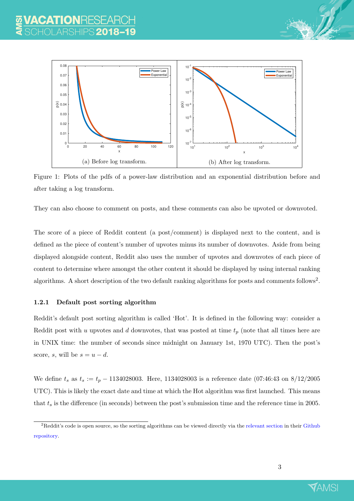

Figure 1: Plots of the pdfs of a power-law distribution and an exponential distribution before and after taking a log transform.

<span id="page-3-0"></span>They can also choose to comment on posts, and these comments can also be upvoted or downvoted.

The score of a piece of Reddit content (a post/comment) is displayed next to the content, and is defined as the piece of content's number of upvotes minus its number of downvotes. Aside from being displayed alongside content, Reddit also uses the number of upvotes and downvotes of each piece of content to determine where amongst the other content it should be displayed by using internal ranking algorithms. A short description of the two default ranking algorithms for posts and comments follows<sup>[2](#page-3-1)</sup>.

#### 1.2.1 Default post sorting algorithm

Reddit's default post sorting algorithm is called 'Hot'. It is defined in the following way: consider a Reddit post with u upvotes and d downvotes, that was posted at time  $t_p$  (note that all times here are in UNIX time: the number of seconds since midnight on January 1st, 1970 UTC). Then the post's score, s, will be  $s = u - d$ .

We define  $t_s$  as  $t_s := t_p - 1134028003$ . Here, 1134028003 is a reference date (07:46:43 on 8/12/2005) UTC). This is likely the exact date and time at which the Hot algorithm was first launched. This means that  $t_s$  is the difference (in seconds) between the post's submission time and the reference time in 2005.



<span id="page-3-1"></span><sup>&</sup>lt;sup>2</sup>Reddit's code is open source, so the sorting algorithms can be viewed directly via the [relevant section](https://github.com/reddit-archive/reddit/blob/master/r2/r2/lib/db/_sorts.pyx) in their [Github](https://github.com/reddit-archive/reddit) [repository.](https://github.com/reddit-archive/reddit)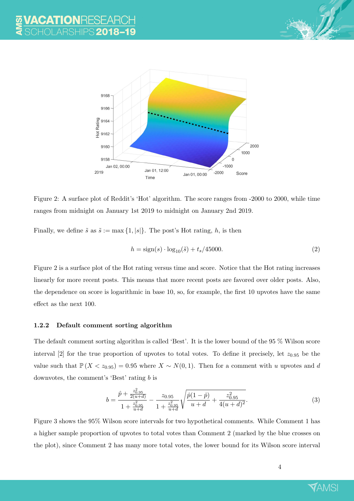



<span id="page-4-0"></span>Figure 2: A surface plot of Reddit's 'Hot' algorithm. The score ranges from -2000 to 2000, while time ranges from midnight on January 1st 2019 to midnight on January 2nd 2019.

Finally, we define  $\tilde{s}$  as  $\tilde{s} := \max\{1, |s|\}.$  The post's Hot rating, h, is then

<span id="page-4-1"></span>
$$
h = sign(s) \cdot log_{10}(\tilde{s}) + t_s/45000.
$$
 (2)

Figure [2](#page-4-0) is a surface plot of the Hot rating versus time and score. Notice that the Hot rating increases linearly for more recent posts. This means that more recent posts are favored over older posts. Also, the dependence on score is logarithmic in base 10, so, for example, the first 10 upvotes have the same effect as the next 100.

#### 1.2.2 Default comment sorting algorithm

The default comment sorting algorithm is called 'Best'. It is the lower bound of the 95 % Wilson score interval [\[2\]](#page-15-1) for the true proportion of upvotes to total votes. To define it precisely, let  $z_{0.95}$  be the value such that  $\mathbb{P}(X < z_{0.95}) = 0.95$  where  $X \sim N(0, 1)$ . Then for a comment with u upvotes and d downvotes, the comment's 'Best' rating b is

$$
b = \frac{\hat{p} + \frac{z_{0.95}^2}{2(u+d)}}{1 + \frac{z_{0.95}^2}{u+d}} - \frac{z_{0.95}}{1 + \frac{z_{0.95}^2}{u+d}} \sqrt{\frac{\hat{p}(1-\hat{p})}{u+d} + \frac{z_{0.95}^2}{4(u+d)^2}}.
$$
(3)

Figure [3](#page-5-0) shows the 95% Wilson score intervals for two hypothetical comments. While Comment 1 has a higher sample proportion of upvotes to total votes than Comment 2 (marked by the blue crosses on the plot), since Comment 2 has many more total votes, the lower bound for its Wilson score interval

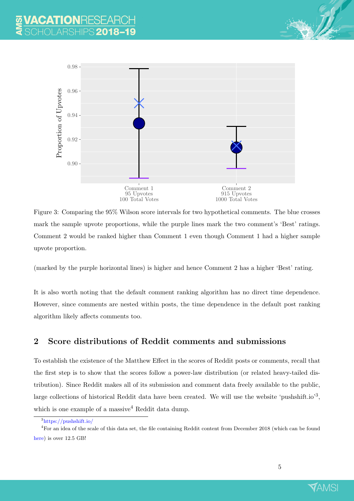

<span id="page-5-0"></span>Figure 3: Comparing the 95% Wilson score intervals for two hypothetical comments. The blue crosses mark the sample upvote proportions, while the purple lines mark the two comment's 'Best' ratings. Comment 2 would be ranked higher than Comment 1 even though Comment 1 had a higher sample upvote proportion.

(marked by the purple horizontal lines) is higher and hence Comment 2 has a higher 'Best' rating.

It is also worth noting that the default comment ranking algorithm has no direct time dependence. However, since comments are nested within posts, the time dependence in the default post ranking algorithm likely affects comments too.

## 2 Score distributions of Reddit comments and submissions

To establish the existence of the Matthew Effect in the scores of Reddit posts or comments, recall that the first step is to show that the scores follow a power-law distribution (or related heavy-tailed distribution). Since Reddit makes all of its submission and comment data freely available to the public, large collections of historical Reddit data have been created. We will use the website 'pushshift.io'<sup>[3](#page-5-1)</sup>, which is one example of a massive  $4$  Reddit data dump.



<span id="page-5-2"></span><span id="page-5-1"></span><sup>3</sup><https://pushshift.io/>

<sup>4</sup>For an idea of the scale of this data set, the file containing Reddit content from December 2018 (which can be found [here\)](https://files.pushshift.io/reddit/comments/) is over 12.5 GB!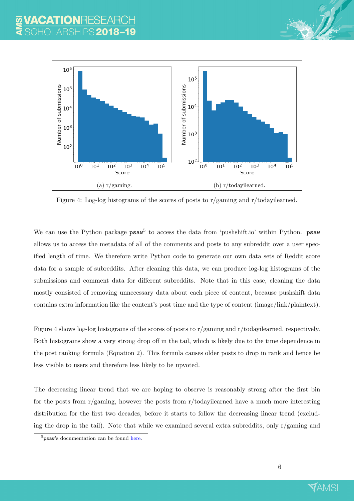

<span id="page-6-1"></span>Figure 4: Log-log histograms of the scores of posts to r/gaming and r/todayilearned.

We can use the Python package  $psaw^5$  $psaw^5$  to access the data from 'pushshift.io' within Python. psaw allows us to access the metadata of all of the comments and posts to any subreddit over a user specified length of time. We therefore write Python code to generate our own data sets of Reddit score data for a sample of subreddits. After cleaning this data, we can produce log-log histograms of the submissions and comment data for different subreddits. Note that in this case, cleaning the data mostly consisted of removing unnecessary data about each piece of content, because pushshift data contains extra information like the content's post time and the type of content (image/link/plaintext).

Figure [4](#page-6-1) shows log-log histograms of the scores of posts to r/gaming and r/todayilearned, respectively. Both histograms show a very strong drop off in the tail, which is likely due to the time dependence in the post ranking formula (Equation [2\)](#page-4-1). This formula causes older posts to drop in rank and hence be less visible to users and therefore less likely to be upvoted.

The decreasing linear trend that we are hoping to observe is reasonably strong after the first bin for the posts from r/gaming, however the posts from r/todayilearned have a much more interesting distribution for the first two decades, before it starts to follow the decreasing linear trend (excluding the drop in the tail). Note that while we examined several extra subreddits, only  $r/gaming$  and



<span id="page-6-0"></span><sup>&</sup>lt;sup>5</sup>psaw's documentation can be found [here.](https://github.com/dmarx/psaw)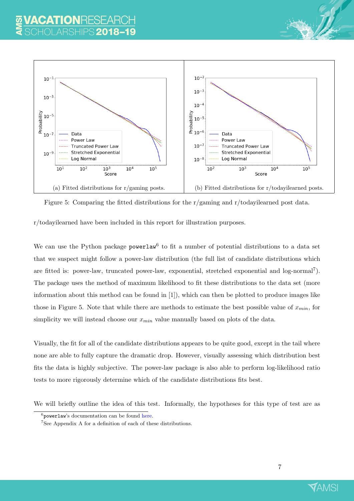

Figure 5: Comparing the fitted distributions for the r/gaming and r/todayilearned post data.

<span id="page-7-2"></span>r/todayilearned have been included in this report for illustration purposes.

We can use the Python package  $powerlaw<sup>6</sup>$  $powerlaw<sup>6</sup>$  $powerlaw<sup>6</sup>$  to fit a number of potential distributions to a data set that we suspect might follow a power-law distribution (the full list of candidate distributions which are fitted is: power-law, truncated power-law, exponential, stretched exponential and log-normal<sup>[7](#page-7-1)</sup>). The package uses the method of maximum likelihood to fit these distributions to the data set (more information about this method can be found in [\[1\]](#page-15-2)), which can then be plotted to produce images like those in Figure [5.](#page-7-2) Note that while there are methods to estimate the best possible value of  $x_{min}$ , for simplicity we will instead choose our  $x_{min}$  value manually based on plots of the data.

Visually, the fit for all of the candidate distributions appears to be quite good, except in the tail where none are able to fully capture the dramatic drop. However, visually assessing which distribution best fits the data is highly subjective. The power-law package is also able to perform log-likelihood ratio tests to more rigorously determine which of the candidate distributions fits best.

We will briefly outline the idea of this test. Informally, the hypotheses for this type of test are as



<span id="page-7-1"></span><span id="page-7-0"></span><sup>6</sup> powerlaw's documentation can be found [here.](https://pythonhosted.org/powerlaw/)

<sup>7</sup>See Appendix A for a definition of each of these distributions.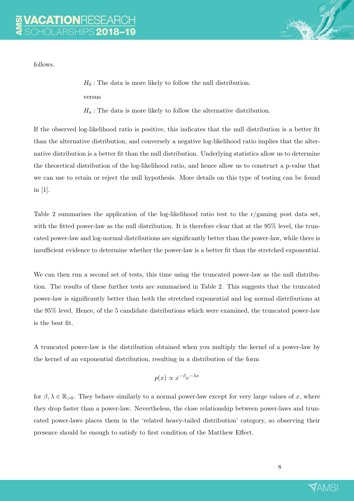follows.

 $H_0$ : The data is more likely to follow the null distribution. versus

 $H_a$ : The data is more likely to follow the alternative distribution.

If the observed log-likelihood ratio is positive, this indicates that the null distribution is a better fit than the alternative distribution, and conversely a negative log-likelihood ratio implies that the alternative distribution is a better fit than the null distribution. Underlying statistics allow us to determine the theoretical distribution of the log-likelihood ratio, and hence allow us to construct a p-value that we can use to retain or reject the null hypothesis. More details on this type of testing can be found in [\[1\]](#page-15-2).

Table [2](#page-7-2) summarises the application of the log-likelihood ratio test to the r/gaming post data set, with the fitted power-law as the null distribution. It is therefore clear that at the 95% level, the truncated power-law and log-normal distributions are significantly better than the power-law, while there is insufficient evidence to determine whether the power-law is a better fit than the stretched exponential.

We can then run a second set of tests, this time using the truncated power-law as the null distribution. The results of these further tests are summarised in Table [2.](#page-9-0) This suggests that the truncated power-law is significantly better than both the stretched exponential and log normal distributions at the 95% level. Hence, of the 5 candidate distributions which were examined, the truncated power-law is the best fit.

A truncated power-law is the distribution obtained when you multiply the kernel of a power-law by the kernel of an exponential distribution, resulting in a distribution of the form

$$
p(x) \propto x^{-\beta} e^{-\lambda x}
$$

for  $\beta, \lambda \in \mathbb{R}_{>0}$ . They behave similarly to a normal power-law except for very large values of x, where they drop faster than a power-law. Nevertheless, the close relationship between power-laws and truncated power-laws places them in the 'related heavy-tailed distribution' category, so observing their presence should be enough to satisfy to first condition of the Matthew Effect.

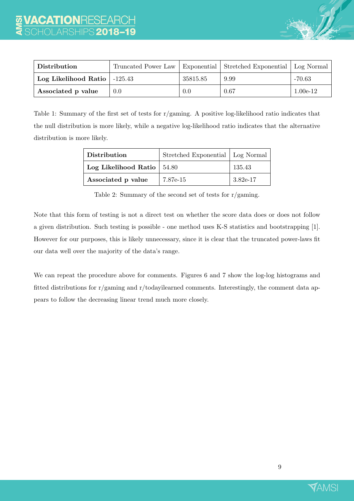

| Distribution                     |     |          | Truncated Power Law   Exponential   Stretched Exponential   Log Normal |            |
|----------------------------------|-----|----------|------------------------------------------------------------------------|------------|
| Log Likelihood Ratio   $-125.43$ |     | 35815.85 | 9.99                                                                   | $-70.63$   |
| Associated p value               | 0.0 | 0.0      | 0.67                                                                   | $1.00e-12$ |

Table 1: Summary of the first set of tests for r/gaming. A positive log-likelihood ratio indicates that the null distribution is more likely, while a negative log-likelihood ratio indicates that the alternative distribution is more likely.

| <b>Distribution</b>           | Stretched Exponential   Log Normal |          |
|-------------------------------|------------------------------------|----------|
| Log Likelihood Ratio $ 54.80$ |                                    | 135.43   |
| Associated p value            | 7.87e-15                           | 3.82e-17 |

<span id="page-9-0"></span>Table 2: Summary of the second set of tests for r/gaming.

Note that this form of testing is not a direct test on whether the score data does or does not follow a given distribution. Such testing is possible - one method uses K-S statistics and bootstrapping [\[1\]](#page-15-2). However for our purposes, this is likely unnecessary, since it is clear that the truncated power-laws fit our data well over the majority of the data's range.

We can repeat the procedure above for comments. Figures [6](#page-10-0) and [7](#page-10-1) show the log-log histograms and fitted distributions for r/gaming and r/todayilearned comments. Interestingly, the comment data appears to follow the decreasing linear trend much more closely.

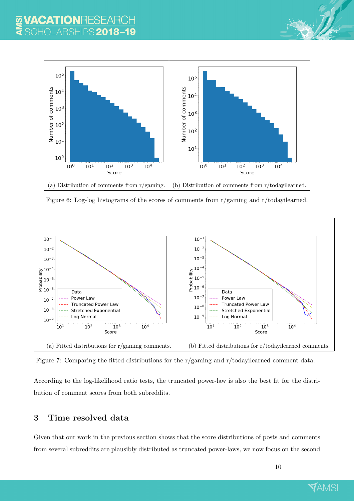

Figure 6: Log-log histograms of the scores of comments from r/gaming and r/todayilearned.

<span id="page-10-0"></span>

<span id="page-10-1"></span>Figure 7: Comparing the fitted distributions for the r/gaming and r/todayilearned comment data.

According to the log-likelihood ratio tests, the truncated power-law is also the best fit for the distribution of comment scores from both subreddits.

## 3 Time resolved data

Given that our work in the previous section shows that the score distributions of posts and comments from several subreddits are plausibly distributed as truncated power-laws, we now focus on the second

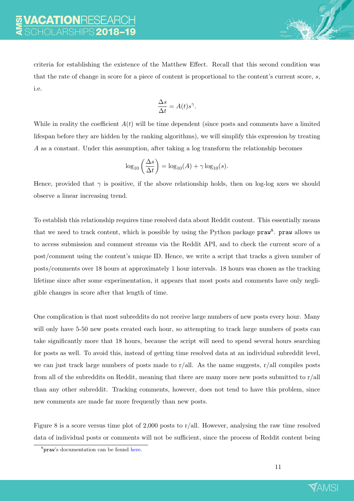criteria for establishing the existence of the Matthew Effect. Recall that this second condition was that the rate of change in score for a piece of content is proportional to the content's current score, s, i.e.

$$
\frac{\Delta s}{\Delta t} = A(t)s^{\gamma}.
$$

While in reality the coefficient  $A(t)$  will be time dependent (since posts and comments have a limited lifespan before they are hidden by the ranking algorithms), we will simplify this expression by treating A as a constant. Under this assumption, after taking a log transform the relationship becomes

$$
\log_{10}\left(\frac{\Delta s}{\Delta t}\right) = \log_{10}(A) + \gamma \log_{10}(s).
$$

Hence, provided that  $\gamma$  is positive, if the above relationship holds, then on log-log axes we should observe a linear increasing trend.

To establish this relationship requires time resolved data about Reddit content. This essentially means that we need to track content, which is possible by using the Python package  $prox^8$  $prox^8$ .  $prox$  allows us to access submission and comment streams via the Reddit API, and to check the current score of a post/comment using the content's unique ID. Hence, we write a script that tracks a given number of posts/comments over 18 hours at approximately 1 hour intervals. 18 hours was chosen as the tracking lifetime since after some experimentation, it appears that most posts and comments have only negligible changes in score after that length of time.

One complication is that most subreddits do not receive large numbers of new posts every hour. Many will only have 5-50 new posts created each hour, so attempting to track large numbers of posts can take significantly more that 18 hours, because the script will need to spend several hours searching for posts as well. To avoid this, instead of getting time resolved data at an individual subreddit level, we can just track large numbers of posts made to r/all. As the name suggests, r/all compiles posts from all of the subreddits on Reddit, meaning that there are many more new posts submitted to  $r/all$ than any other subreddit. Tracking comments, however, does not tend to have this problem, since new comments are made far more frequently than new posts.

Figure [8](#page-12-0) is a score versus time plot of 2,000 posts to r/all. However, analysing the raw time resolved data of individual posts or comments will not be sufficient, since the process of Reddit content being



<span id="page-11-0"></span><sup>&</sup>lt;sup>8</sup>praw's documentation can be found [here.](https://praw.readthedocs.io/en/latest/)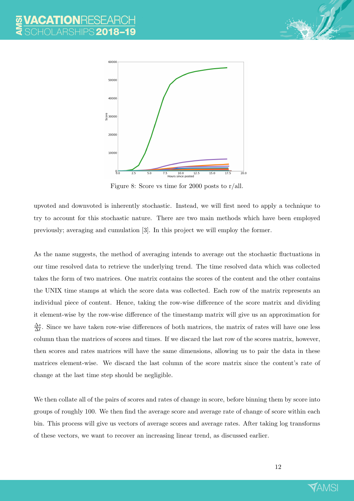

<span id="page-12-0"></span>Figure 8: Score vs time for 2000 posts to r/all.

upvoted and downvoted is inherently stochastic. Instead, we will first need to apply a technique to try to account for this stochastic nature. There are two main methods which have been employed previously; averaging and cumulation [\[3\]](#page-15-0). In this project we will employ the former.

As the name suggests, the method of averaging intends to average out the stochastic fluctuations in our time resolved data to retrieve the underlying trend. The time resolved data which was collected takes the form of two matrices. One matrix contains the scores of the content and the other contains the UNIX time stamps at which the score data was collected. Each row of the matrix represents an individual piece of content. Hence, taking the row-wise difference of the score matrix and dividing it element-wise by the row-wise difference of the timestamp matrix will give us an approximation for  $\Delta s$  $\frac{\Delta s}{\Delta t}$ . Since we have taken row-wise differences of both matrices, the matrix of rates will have one less column than the matrices of scores and times. If we discard the last row of the scores matrix, however, then scores and rates matrices will have the same dimensions, allowing us to pair the data in these matrices element-wise. We discard the last column of the score matrix since the content's rate of change at the last time step should be negligible.

We then collate all of the pairs of scores and rates of change in score, before binning them by score into groups of roughly 100. We then find the average score and average rate of change of score within each bin. This process will give us vectors of average scores and average rates. After taking log transforms of these vectors, we want to recover an increasing linear trend, as discussed earlier.

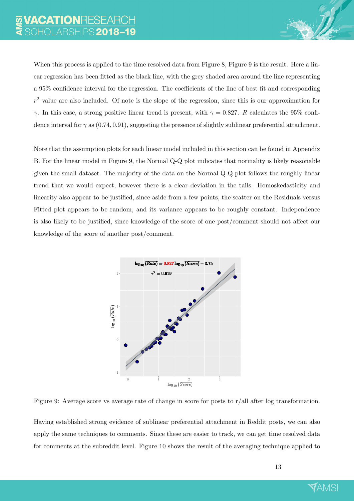When this process is applied to the time resolved data from Figure [8,](#page-12-0) Figure [9](#page-13-0) is the result. Here a linear regression has been fitted as the black line, with the grey shaded area around the line representing a 95% confidence interval for the regression. The coefficients of the line of best fit and corresponding  $r<sup>2</sup>$  value are also included. Of note is the slope of the regression, since this is our approximation for γ. In this case, a strong positive linear trend is present, with  $\gamma = 0.827$ . R calculates the 95% confidence interval for  $\gamma$  as (0.74, 0.91), suggesting the presence of slightly sublinear preferential attachment.

Note that the assumption plots for each linear model included in this section can be found in Appendix B. For the linear model in Figure [9,](#page-13-0) the Normal Q-Q plot indicates that normality is likely reasonable given the small dataset. The majority of the data on the Normal Q-Q plot follows the roughly linear trend that we would expect, however there is a clear deviation in the tails. Homoskedasticity and linearity also appear to be justified, since aside from a few points, the scatter on the Residuals versus Fitted plot appears to be random, and its variance appears to be roughly constant. Independence is also likely to be justified, since knowledge of the score of one post/comment should not affect our knowledge of the score of another post/comment.



<span id="page-13-0"></span>Figure 9: Average score vs average rate of change in score for posts to r/all after log transformation.

Having established strong evidence of sublinear preferential attachment in Reddit posts, we can also apply the same techniques to comments. Since these are easier to track, we can get time resolved data for comments at the subreddit level. Figure [10](#page-14-0) shows the result of the averaging technique applied to

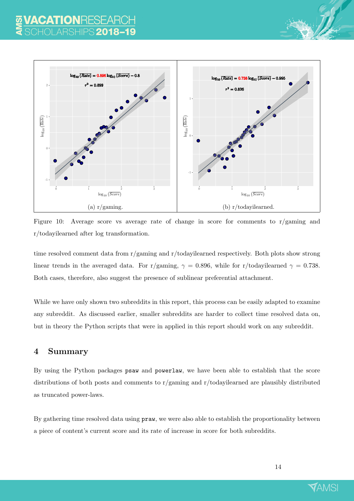

<span id="page-14-0"></span>Figure 10: Average score vs average rate of change in score for comments to r/gaming and r/todayilearned after log transformation.

time resolved comment data from r/gaming and r/todayilearned respectively. Both plots show strong linear trends in the averaged data. For r/gaming,  $\gamma = 0.896$ , while for r/todayilearned  $\gamma = 0.738$ . Both cases, therefore, also suggest the presence of sublinear preferential attachment.

While we have only shown two subreddits in this report, this process can be easily adapted to examine any subreddit. As discussed earlier, smaller subreddits are harder to collect time resolved data on, but in theory the Python scripts that were in applied in this report should work on any subreddit.

## 4 Summary

By using the Python packages psaw and powerlaw, we have been able to establish that the score distributions of both posts and comments to r/gaming and r/todayilearned are plausibly distributed as truncated power-laws.

By gathering time resolved data using praw, we were also able to establish the proportionality between a piece of content's current score and its rate of increase in score for both subreddits.

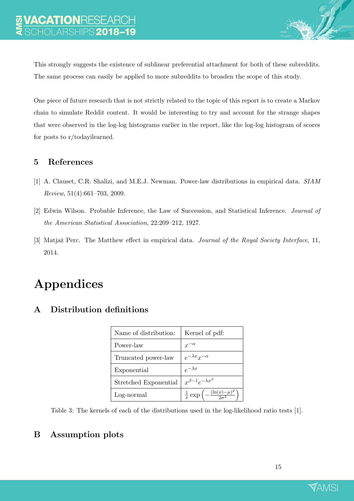This strongly suggests the existence of sublinear preferential attachment for both of these subreddits. The same process can easily be applied to more subreddits to broaden the scope of this study.

One piece of future research that is not strictly related to the topic of this report is to create a Markov chain to simulate Reddit content. It would be interesting to try and account for the strange shapes that were observed in the log-log histograms earlier in the report, like the log-log histogram of scores for posts to r/todayilearned.

## 5 References

- <span id="page-15-2"></span>[1] A. Clauset, C.R. Shalizi, and M.E.J. Newman. Power-law distributions in empirical data. SIAM Review, 51(4):661–703, 2009.
- <span id="page-15-1"></span>[2] Edwin Wilson. Probable Inference, the Law of Succession, and Statistical Inference. Journal of the American Statistical Association, 22:209–212, 1927.
- <span id="page-15-0"></span>[3] Matjaž Perc. The Matthew effect in empirical data. *Journal of the Royal Society Interface*, 11, 2014.

## Appendices

| Name of distribution: | Kernel of pdf:                                                    |  |
|-----------------------|-------------------------------------------------------------------|--|
| Power-law             |                                                                   |  |
| Truncated power-law   | $e^{-\lambda x}x^{-\alpha}$                                       |  |
| Exponential           | $e^{-\lambda x}$                                                  |  |
| Stretched Exponential | $x^{\beta-1}e^{-\lambda x^{\beta}}$                               |  |
| Log-normal            | $\frac{1}{x} \exp \left(-\frac{(\ln(x)-\mu)^2}{2\sigma^2}\right)$ |  |

## A Distribution definitions

Table 3: The kernels of each of the distributions used in the log-likelihood ratio tests [\[1\]](#page-15-2).

## B Assumption plots

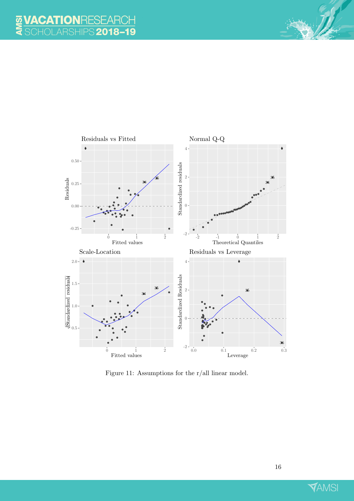

Figure 11: Assumptions for the r/all linear model.

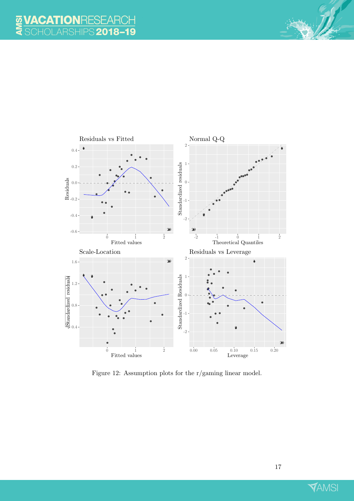

Figure 12: Assumption plots for the r/gaming linear model.